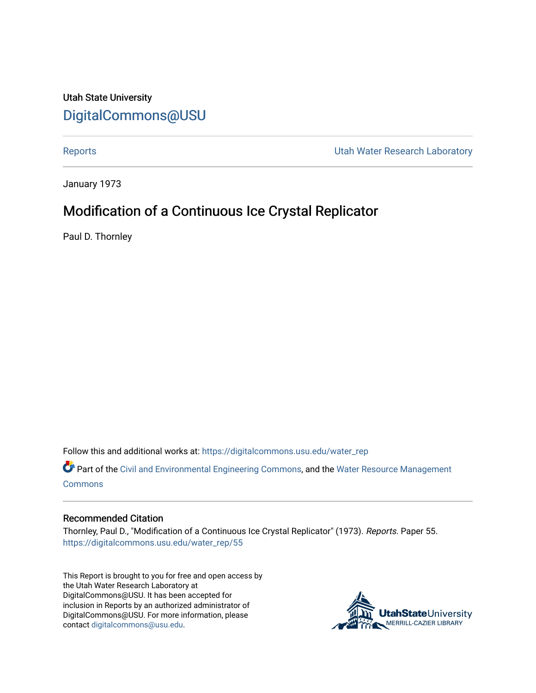Utah State University [DigitalCommons@USU](https://digitalcommons.usu.edu/)

[Reports](https://digitalcommons.usu.edu/water_rep) **National Community Community** Channel Community Utah Water Research Laboratory

January 1973

# Modification of a Continuous Ice Crystal Replicator

Paul D. Thornley

Follow this and additional works at: [https://digitalcommons.usu.edu/water\\_rep](https://digitalcommons.usu.edu/water_rep?utm_source=digitalcommons.usu.edu%2Fwater_rep%2F55&utm_medium=PDF&utm_campaign=PDFCoverPages) 

Part of the [Civil and Environmental Engineering Commons](http://network.bepress.com/hgg/discipline/251?utm_source=digitalcommons.usu.edu%2Fwater_rep%2F55&utm_medium=PDF&utm_campaign=PDFCoverPages), and the [Water Resource Management](http://network.bepress.com/hgg/discipline/1057?utm_source=digitalcommons.usu.edu%2Fwater_rep%2F55&utm_medium=PDF&utm_campaign=PDFCoverPages) [Commons](http://network.bepress.com/hgg/discipline/1057?utm_source=digitalcommons.usu.edu%2Fwater_rep%2F55&utm_medium=PDF&utm_campaign=PDFCoverPages)

### Recommended Citation

Thornley, Paul D., "Modification of a Continuous Ice Crystal Replicator" (1973). Reports. Paper 55. [https://digitalcommons.usu.edu/water\\_rep/55](https://digitalcommons.usu.edu/water_rep/55?utm_source=digitalcommons.usu.edu%2Fwater_rep%2F55&utm_medium=PDF&utm_campaign=PDFCoverPages)

This Report is brought to you for free and open access by the Utah Water Research Laboratory at DigitalCommons@USU. It has been accepted for inclusion in Reports by an authorized administrator of DigitalCommons@USU. For more information, please contact [digitalcommons@usu.edu](mailto:digitalcommons@usu.edu).

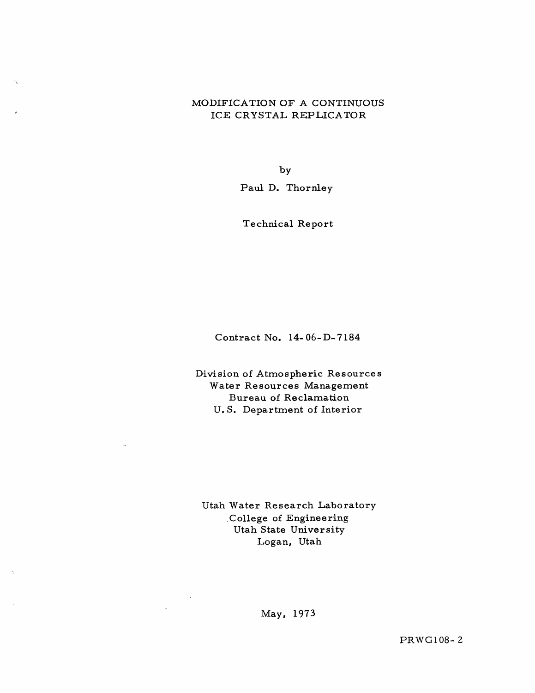## MODIFICA TION OF A CONTINUOUS ICE CRYSTAL REPLICATOR

by

Paul D. Thornley

Technical Report

Contract No. 14- 06- D-7184

Division of Atmospheric Resources Water Resources Management Bureau of Reclamation U. S. Department of Interior

Utah Water Research Laboratory .Co11ege of Engineering Utah State University Logan, Utah

May, 1973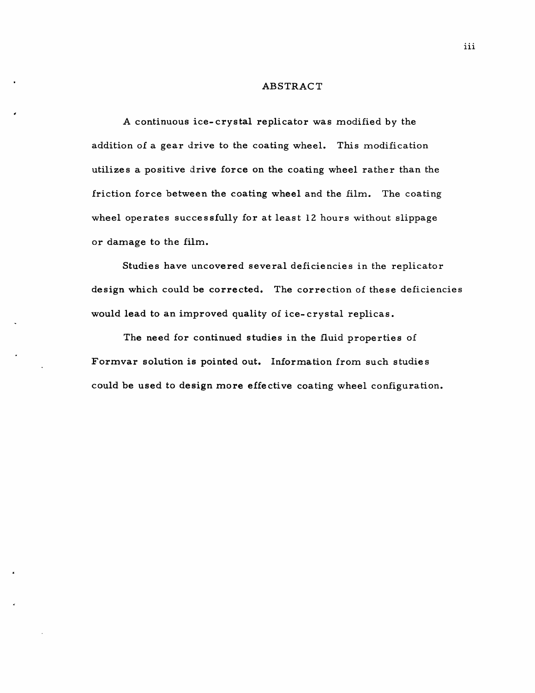#### ABSTRACT

A continuous ice- crystal replicator was modified by the addition of a gear drive to the coating wheel. This modification utilizes a positive drive force on the coating wheel rather than the friction force between the coating wheel and the film. The coating wheel operates successfully for at least 12 hours without slippage or damage to the film.

Studies have uncovered several deficiencies in the replicator design which could be corrected. The correction of these deficiencies would lead to an improved quality of ice- crystal replicas.

The need for continued studies in the fluid properties of Formvar solution is pointed out. Information from such studie s could be used to design more effective coating wheel configuration.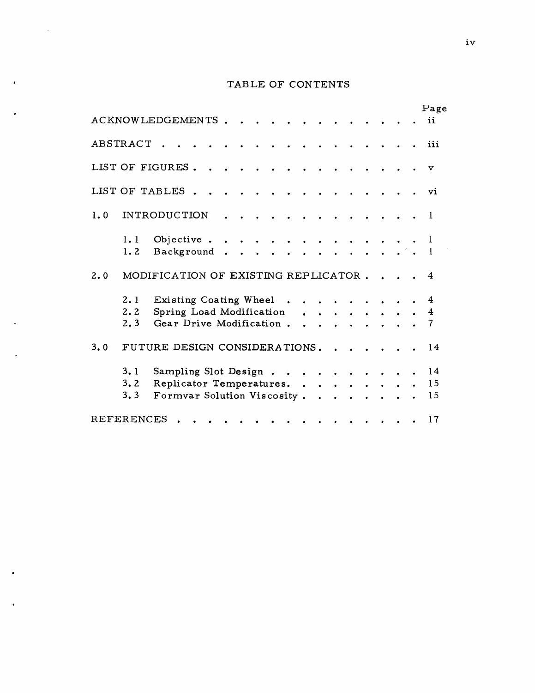# TABLE OF CONTENTS

 $\sim$   $\star$ 

 $\bullet$ 

|     |                   | <b>ACKNOWLEDGEMENTS</b>                                                          |  |        |          |        |                             |               |                                                                                                                                                |  |  | Page<br>ii     |
|-----|-------------------|----------------------------------------------------------------------------------|--|--------|----------|--------|-----------------------------|---------------|------------------------------------------------------------------------------------------------------------------------------------------------|--|--|----------------|
|     | ABSTRACT          |                                                                                  |  |        |          |        |                             |               |                                                                                                                                                |  |  | iii            |
|     |                   | LIST OF FIGURES.                                                                 |  |        |          |        |                             |               |                                                                                                                                                |  |  | v              |
|     |                   | LIST OF TABLES.                                                                  |  |        |          |        |                             |               |                                                                                                                                                |  |  | vi             |
| 1.0 |                   | <b>INTRODUCTION</b>                                                              |  |        |          |        |                             |               |                                                                                                                                                |  |  | -1             |
|     | 1.1<br>1.2        | Objective.<br>Background.                                                        |  | $\sim$ | $\cdots$ |        |                             |               |                                                                                                                                                |  |  | 1              |
| 2.0 |                   | MODIFICATION OF EXISTING REPLICATOR.                                             |  |        |          |        |                             |               |                                                                                                                                                |  |  | 4              |
|     | 2.1<br>2.2<br>2.3 | Existing Coating Wheel<br>Spring Load Modification<br>Gear Drive Modification.   |  |        |          | $\sim$ | $\sim$ $\sim$               |               | $\bullet$ $\bullet$ $\bullet$ $\bullet$ $\bullet$ $\bullet$ $\bullet$<br>$\bullet$ $\bullet$ $\bullet$ $\bullet$ $\bullet$ $\bullet$ $\bullet$ |  |  | 4<br>4<br>7    |
| 3.0 |                   | FUTURE DESIGN CONSIDERATIONS.                                                    |  |        |          |        |                             |               |                                                                                                                                                |  |  | 14             |
|     | 3.1<br>3.2<br>3.3 | Sampling Slot Design.<br>Replicator Temperatures.<br>Formvar Solution Viscosity. |  |        |          |        | $\sim$ $\sim$ $\sim$ $\sim$ | $\sim$ $\sim$ | $\bullet$ $\bullet$ $\bullet$ $\bullet$ $\bullet$ $\bullet$ $\bullet$                                                                          |  |  | 14<br>15<br>15 |
|     | REFERENCES        |                                                                                  |  |        |          |        |                             |               |                                                                                                                                                |  |  | 17             |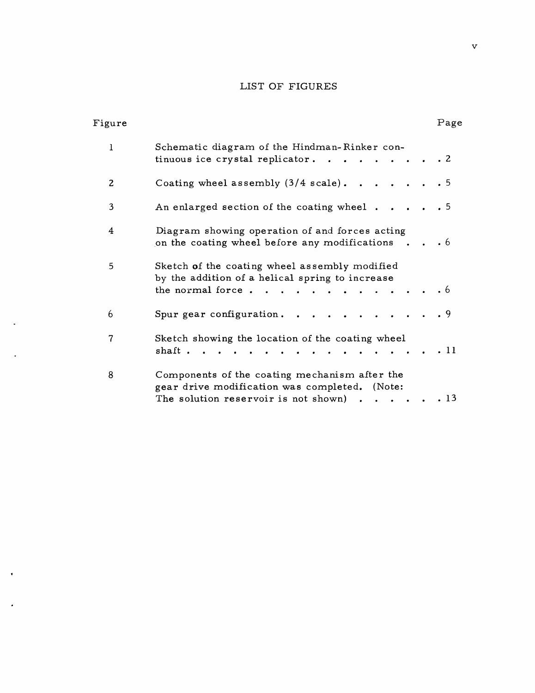# LIST OF FIGURES

| Figure |                                                                                                                                                 | Page      |
|--------|-------------------------------------------------------------------------------------------------------------------------------------------------|-----------|
| 1      | Schematic diagram of the Hindman-Rinker con-<br>tinuous ice crystal replicator<br>$\sim$ $\sim$ $\sim$ $\sim$ $\sim$                            | $\cdot$ 2 |
| 2      | Coating wheel assembly $(3/4 \text{ scale})$<br>$\cdot$ $\cdot$ $\cdot$                                                                         | $\cdot$ 5 |
| 3      | An enlarged section of the coating wheel.                                                                                                       | . 5       |
| 4      | Diagram showing operation of and forces acting<br>on the coating wheel before any modifications                                                 | $\cdot$ 6 |
| 5      | Sketch of the coating wheel assembly modified<br>by the addition of a helical spring to increase<br>the normal force.<br>$\cdots$ $\cdots$      | $\cdot$ 6 |
| 6      | Spur gear configuration.<br>$\ddot{\phantom{a}}$                                                                                                | . 9       |
| 7      | Sketch showing the location of the coating wheel<br>shaft.                                                                                      | . 11      |
| 8      | Components of the coating mechanism after the<br>gear drive modification was completed. (Note:<br>The solution reservoir is not shown) $\cdots$ | . 13      |

 $\ddot{\phantom{a}}$ 

 $\ddot{\phantom{0}}$ 

 $\bullet$ 

 $\hat{\textbf{z}}$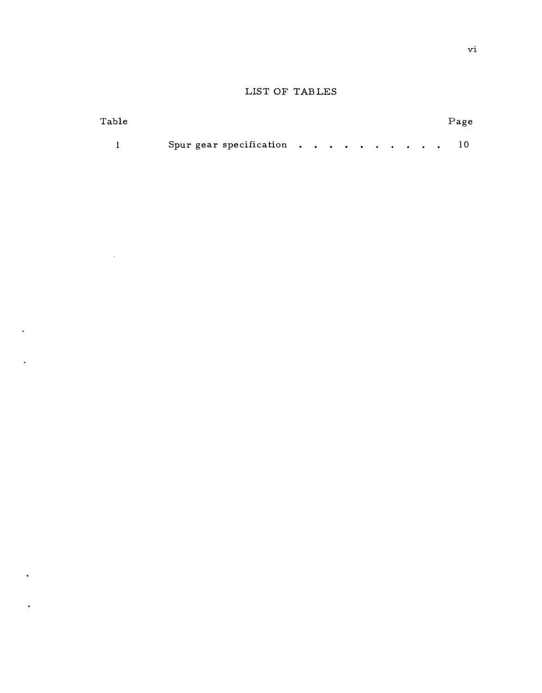# LIST OF TABLES

| ${\rm Table}$ |                                                                                                          |  |  |  |  |  | Page |
|---------------|----------------------------------------------------------------------------------------------------------|--|--|--|--|--|------|
|               | Spur gear specification $\cdots$ $\cdots$ $\cdots$ $\cdots$ $\cdots$ $\cdots$ $\cdots$ $\cdots$ $\cdots$ |  |  |  |  |  |      |

 $\mathcal{L}^{\text{max}}_{\text{max}}$  , where  $\mathcal{L}^{\text{max}}_{\text{max}}$ 

 $\ddot{\phantom{a}}$ 

 $\overline{\phantom{a}}$ 

 $\mathbf{r}^{\prime}$ 

 $\ddot{\phantom{0}}$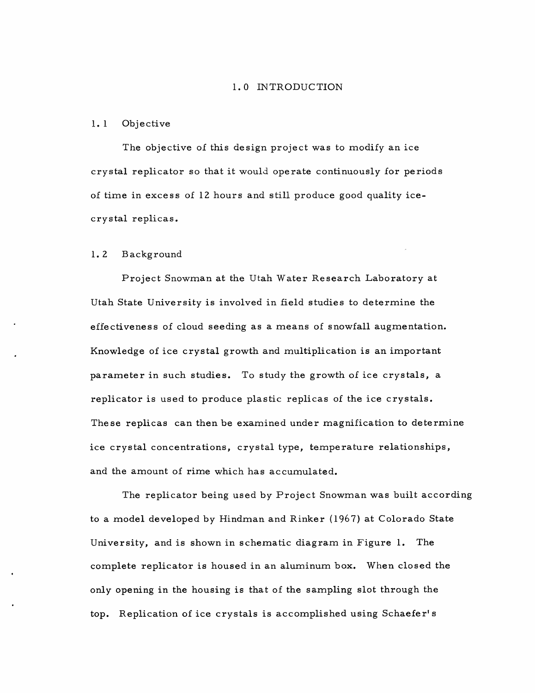#### **1.0** INTRODUCTION

#### 1. 1 Objective

The objective of this design project was to modify an ice crystal replicator so that it would operate continuously for periods of time in excess of 12 hours and still produce good quality icecrystal replicas.

#### **1.** 2 Background

Project Snowman at the Utah Water Research Laboratory at Utah State University is involved in field studies to determine the effectiveness of cloud seeding as a means of snowfall augmentation. Knowledge of ice crystal growth and multiplication is an important parameter in such studies. To study the growth of ice crystals, a replicator is used to produce plastic replicas of the ice crystals. These replicas can then be examined under magnification to determine ice crystal concentrations, crystal type, temperature relationships, and the amount of rime which has accumulated.

The replicator being used by Project Snowman was built according to a model developed by Hindman and Rinker (1967) at Colorado State University, and is shown in schematic diagram in Figure 1. The complete replicator is housed in an aluminum box. When closed the only opening in the housing is that of the sampling slot through the top. Replication of ice crystals is accomplished using Schaefer's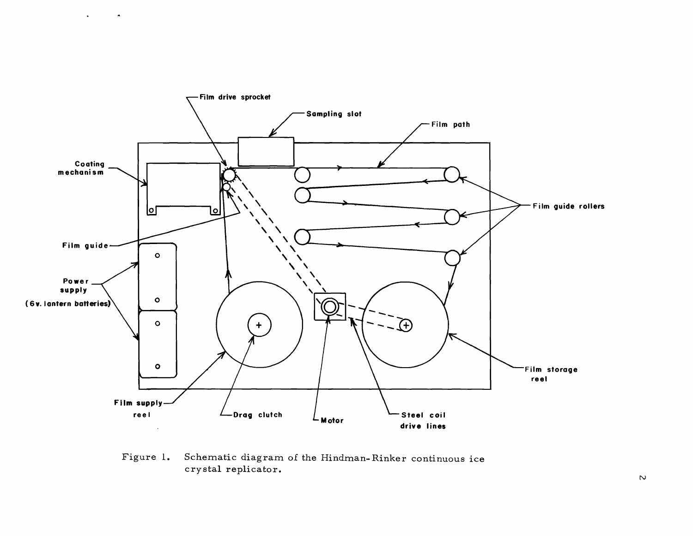

 $\bullet$ 

Figure 1. Schematic diagram of the Hindman- Rinker continuous ice crystal replicator.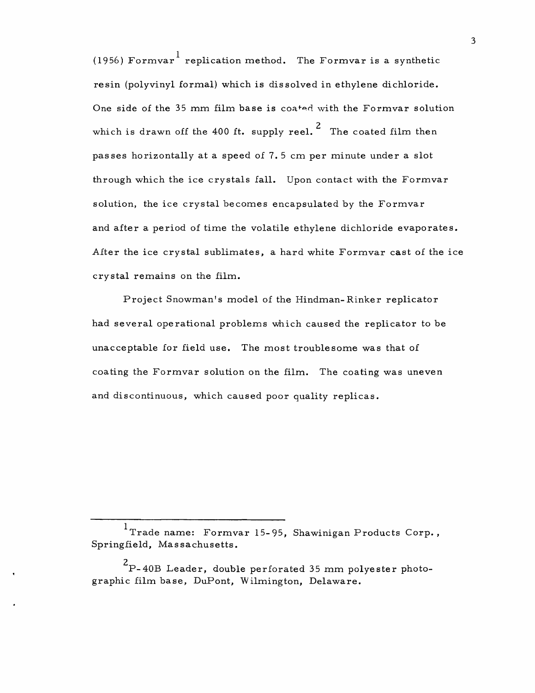(1956) Formvar  $\frac{1}{1}$  replication method. The Formvar is a synthetic resin (polyvinyl formal) which is dis solved in ethylene dichloride. One side of the 35 mm film base is coated with the Formvar solution which is drawn off the 400 ft. supply reel.<sup>2</sup> The coated film then pas ses horizontally at a speed of 7. 5 cm per minute under a slot through which the ice crystals fall. Upon contact with the Formvar solution, the ice crystal becomes encapsulated by the Formvar and after a period of time the volatile ethylene dichloride evaporates. After the ice crystal sublimates, a hard white Formvar cast of the ice crystal remains on the film.

Project Snowman's model of the Hindman-Rinker replicator had several operational problems which caused the replicator to be unacceptable for field use. The most troublesome was that of coating the Formvar solution on the film. The coating was uneven and discontinuous, which caused poor quality replicas.

3

<sup>&</sup>lt;sup>1</sup>Trade name: Formvar 15-95, Shawinigan Products Corp., Springfield, Massachusetts.

 $^{\mathrm{2}}$ P-40B Leader, double perforated 35 mm polyester photographic film base, DuPont, Wilmington, Delaware.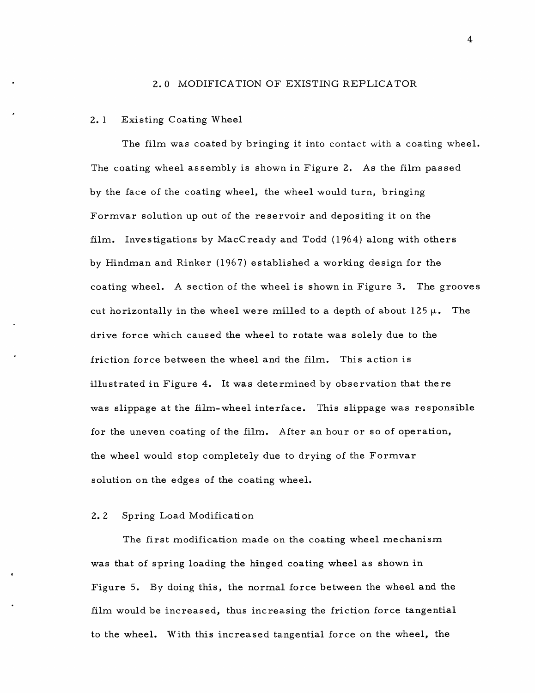#### 2.0 MODIFICATION OF EXISTING REPLICATOR

#### 2. 1 Existing Coating Wheel

The film was coated by bringing it into contact with a coating wheel. The coating wheel assembly is shown in Figure 2. As the film passed by the face of the coating wheel, the wheel would turn, bringing Formvar solution up out of the reservoir and depositing it on the film. Investigations by MacCready and Todd (1964) along with others by Hindman and Rinker (1967) established a working design for the coating wheel. A section of the wheel is shown in Figure 3. The grooves cut horizontally in the wheel were milled to a depth of about  $125 \mu$ . The drive force which caused the wheel to rotate was solely due to the friction force between the wheel and the film. This action is illustrated in Figure 4. It was determined by observation that there was slippage at the film-wheel interface. This slippage was responsible for the uneven coating of the film. After an hour or so of operation, the wheel would stop completely due to drying of the Formvar solution on the edges of the coating wheel.

### 2.2 Spring Load Modification

The first modification made on the coating wheel mechanism was that of spring loading the hinged coating wheel as shown in Figure 5. By doing this, the normal force between the wheel and the film would be increased, thus increasing the friction force tangential to the wheel. With this increased tangential force on the wheel, the

4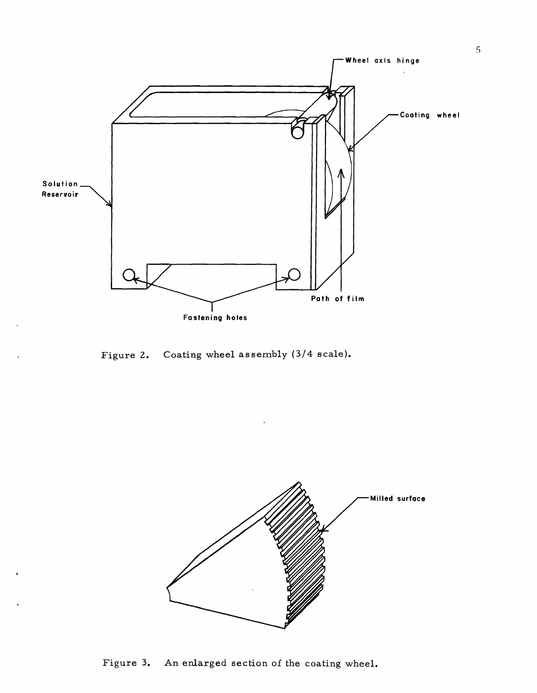

Figure 2. Coating wheel assembly (3/4 scale).

 $\overline{\phantom{a}}$ 

 $\ddot{\phantom{1}}$ 



Figure 3. An enlarged section of the coating wheel.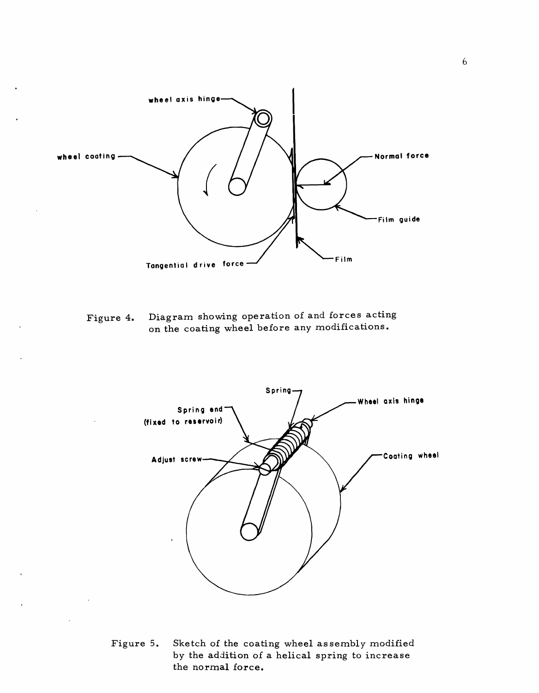

Figure 4. Diagram showing operation of and forces acting on the coating wheel before any modifications.



Figure 5. Sketch of the coating wheel as sembly modified by the addition of a helical spring to increase the normal force.

6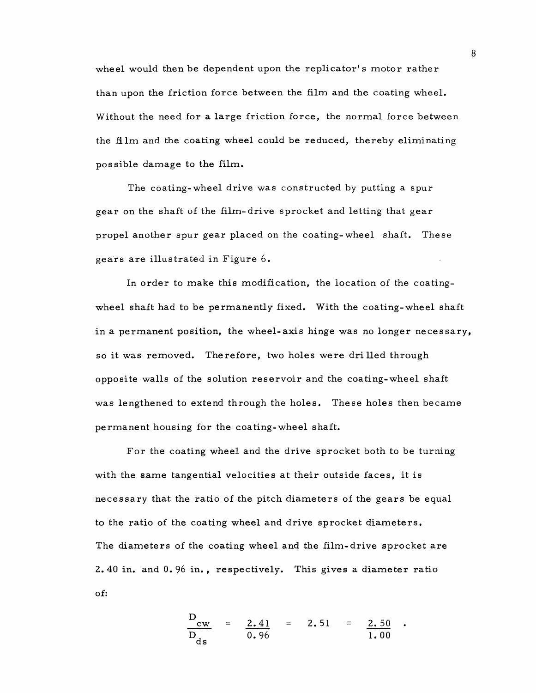wheel would then be dependent upon the replicator's motor rather than upon the friction force between the film and the coating wheel. Without the need for a large friction force, the normal force between the film and the coating wheel could be reduced, thereby eliminating possible damage to the film.

The coating-wheel drive was constructed by putting a spur gear on the shaft of the film-drive sprocket and letting that gear propel another spur gear placed on the coating-wheel shaft. These gears are illustrated in Figure 6.

In order to make this modification, the location of the coatingwheel shaft had to be permanently fixed. With the coating-wheel shaft in a permanent position, the wheel-axis hinge was no longer necessary, so it was removed. Therefore, two holes were drilled through opposite walls of the solution reservoir and the coating-wheel shaft was lengthened to extend through the holes. These holes then became permanent housing for the coating-wheel shaft.

For the coating wheel and the drive sprocket both to be turning with the same tangential velocities at their outside faces, it is necessary that the ratio of the pitch diameters of the gears be equal to the ratio of the coating wheel and drive sprocket diameters. The diameters of the coating wheel and the film-drive sprocket are 2.40 in. and 0.96 in., respectively. This gives a diameter ratio of:

$$
\frac{D_{cw}}{D_{ds}} = \frac{2.41}{0.96} = 2.51 = \frac{2.50}{1.00}
$$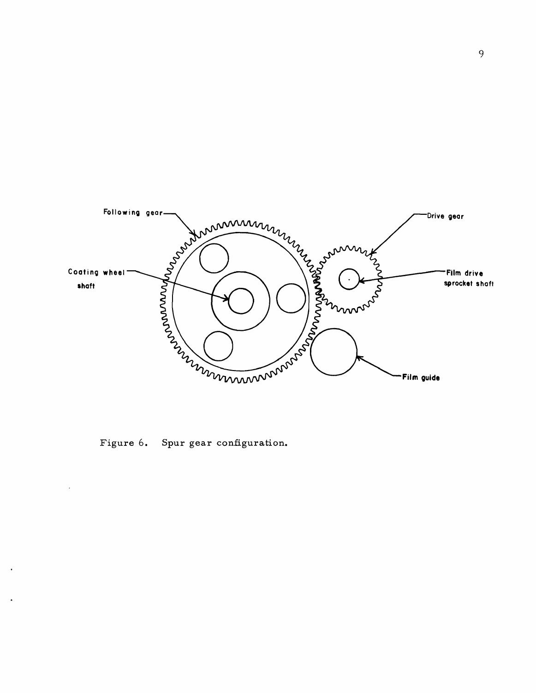

Figure 6. Spur gear configuration.

 $\cdot$ 

 $\ddot{\phantom{1}}$ 

 $\ddot{\phantom{1}}$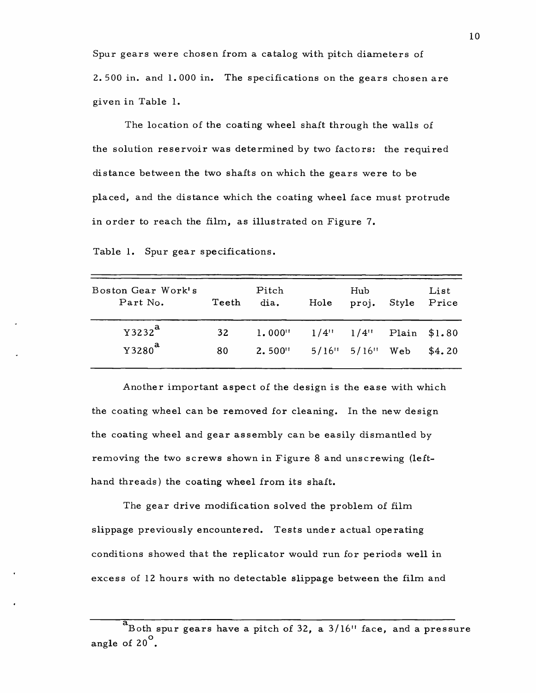Spur gears were chosen from a catalog with pitch diameters of 2. 500 in. and 1.000 in. The specifications on the gears chosen are given in Table 1.

The location of the coating wheel shaft through the walls of the solution reservoir was determined by two factors: the required distance between the two shafts on which the gears were to be placed, and the distance which the coating wheel face must protrude in order to reach the film, as illustrated on Figure 7.

Table 1. Spur gear specifications.

| Boston Gear Work's<br>Part No. | Teeth | Pitch<br>dia.         | Hole                | Hub<br>proj.        | Style | List<br>Price |
|--------------------------------|-------|-----------------------|---------------------|---------------------|-------|---------------|
| $Y3232^a$                      | 32    | $1.000$ <sup>11</sup> | $1/4$ <sup>11</sup> | $1/4$ <sup>11</sup> |       | Plain \$1.80  |
| Y3280 <sup>a</sup>             | 80    | $2.500$ <sup>11</sup> |                     | $5/16$ " $5/16$ "   | Web   | \$4.20        |

Another important aspect of the design is the ease with which the coating wheel can be removed for cleaning. In the new design the coating wheel and gear as sembly can be easily dismantled by removing the two screws shown in Figure 8 and unscrewing (lefthand threads) the coating wheel from its shaft.

The gear drive modification solved the problem of film slippage previously encountered. Tests under actual operating conditions showed that the replicator would run for periods well in excess of 12 hours with no detectable slippage between the film and

a<br>Both spur gears have a pitch of 32, a 3/16" face, and a pressure angle of 20 $^{\circ}$ .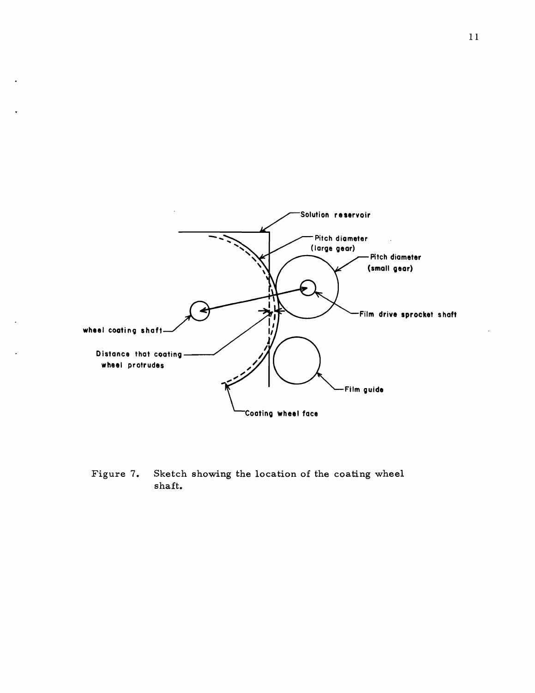

Figure 7. Sketch showing the location of the coating wheel shaft.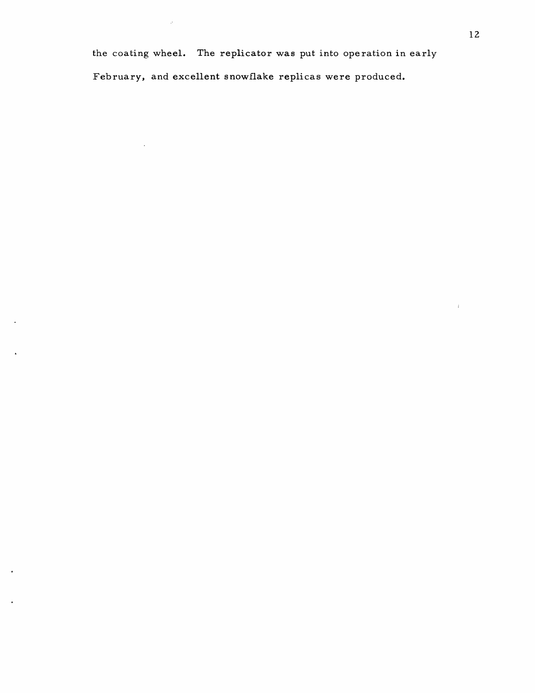the coating wheel. The replicator was put into operation in early

February, and excellent snowflake replicas were produced.

 $\mathcal{P}$ 

 $\sim$ 

 $\mathcal{L}_{\mathcal{L}}$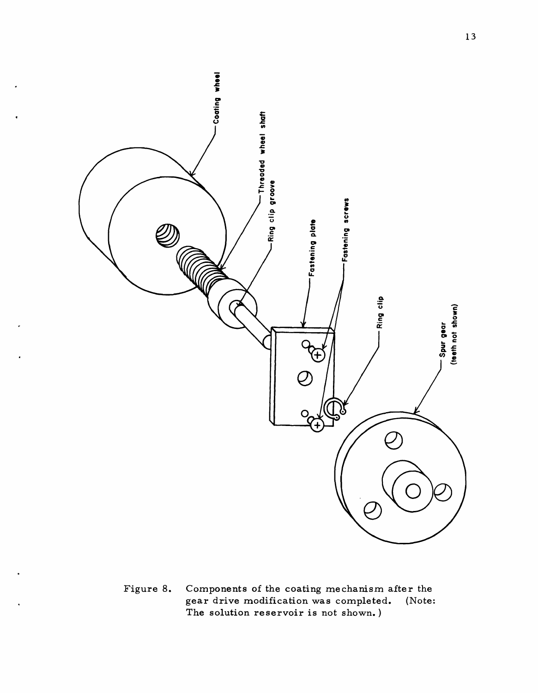

Figure 8. Components of the coating mechanism after the<br>gear drive modification was completed. (Note: gear drive modification was completed. The solution reservoir is not shown.)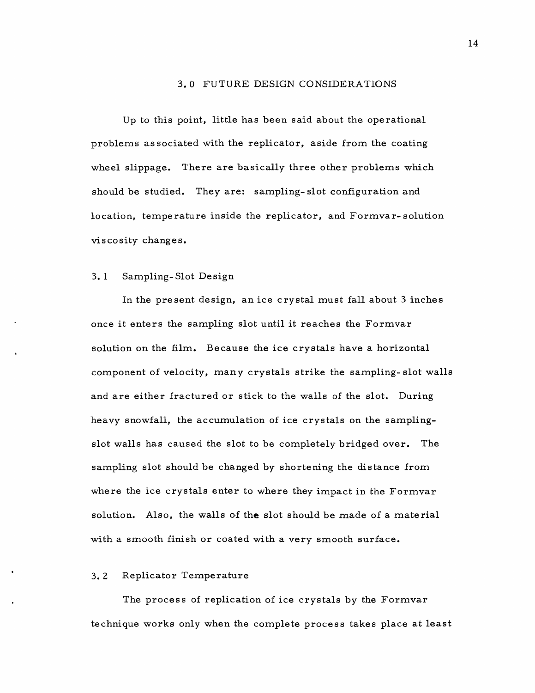#### 3. 0 FUTURE DESIGN CONSIDERA TIONS

Up to this point, little has been said about the operational problems as sociated with the replicator, aside from the coating wheel slippage. There are basically three other problems which should be studied. They are: sampling- slot configuration and location, temperature inside the replicator, and Formvar- solution viscosity changes.

### 3. 1 Sampling-Slot Design

In the present design, an ice crystal must fall about 3 inches once it enters the sampling slot until it reaches the Formvar solution on the film. Because the ice crystals have a horizontal component of velocity, many crystals strike the sampling-slot walls and are either fractured or stick to the walls of the slot. During heavy snowfall, the accumulation of ice crystals on the samplingslot walls has caused the slot to be completely bridged over. The sampling slot should be changed by shortening the distance from where the ice crystals enter to where they impact in the Formvar solution. Also, the walls of the slot should be made of a material with a smooth finish or coated with a very smooth surface.

#### 3. 2 Replicator Temperature

The process of replication of ice crystals by the Formvar technique works only when the complete process takes place at least 14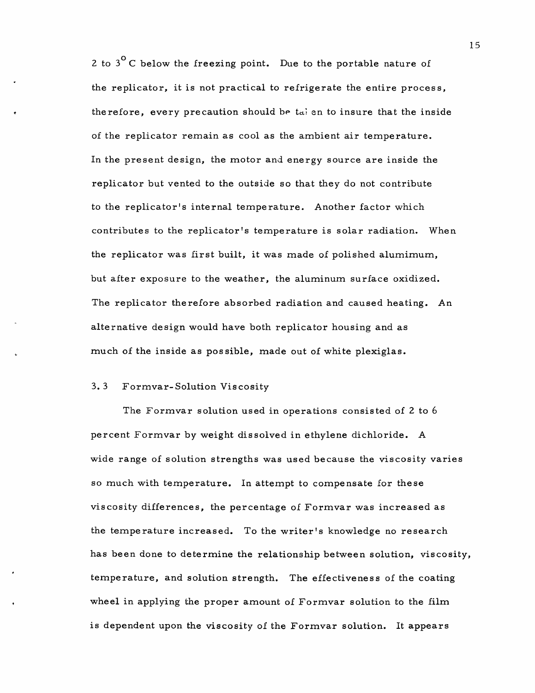2 to  $3^{\circ}$  C below the freezing point. Due to the portable nature of the replicator, it is not practical to refrigerate the entire process, therefore, every precaution should be  $t_{di}$  en to insure that the inside of the replicator remain as cool as the ambient air temperature. In the present design, the motor and energy source are inside the replicator but vented to the outside so that they do not contribute to the replicator's internal temperature. Another factor which contributes to the replicator's temperature is solar radiation. When the replicator was first built, it was made of polished alumimum, but after exposure to the weather, the aluminum surface oxidized. The replicator therefore absorbed radiation and caused heating. An alternative design would have both replicator housing and as much of the inside as pos sible, made out of white plexiglas.

### 3. 3 Formvar-Solution Viscosity

The Formvar solution used in operations consisted of 2 to 6 percent Formvar by weight dissolved in ethylene dichloride. A wide range of solution strengths was used because the viscosity varies so much with temperature. In attempt to compensate for these viscosity differences, the percentage of Formvar was increased as the tempe rature increased. To the writer's knowledge no research has been done to determine the relationship between solution, viscosity, temperature, and solution strength. The effectiveness of the coating wheel in applying the proper amount of Formvar solution to the film is dependent upon the viscosity of the Formvar solution. It appears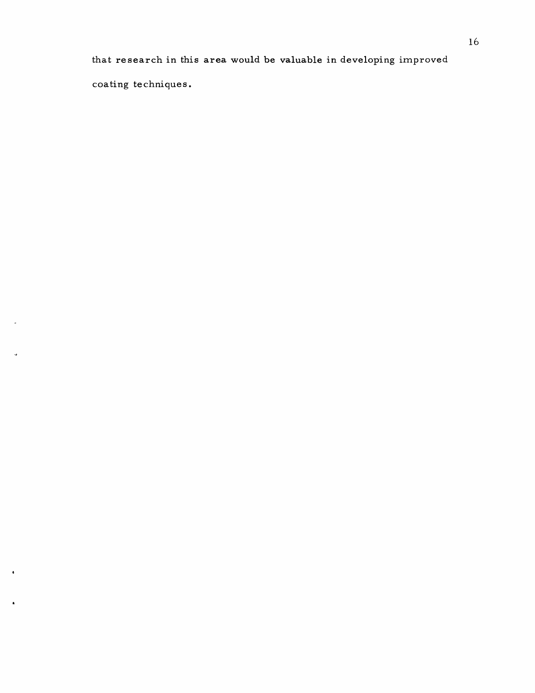that research in this area would be valuable in developing improved coating techniques.

 $\ddot{ }$ 

 $\hat{\textbf{a}}$